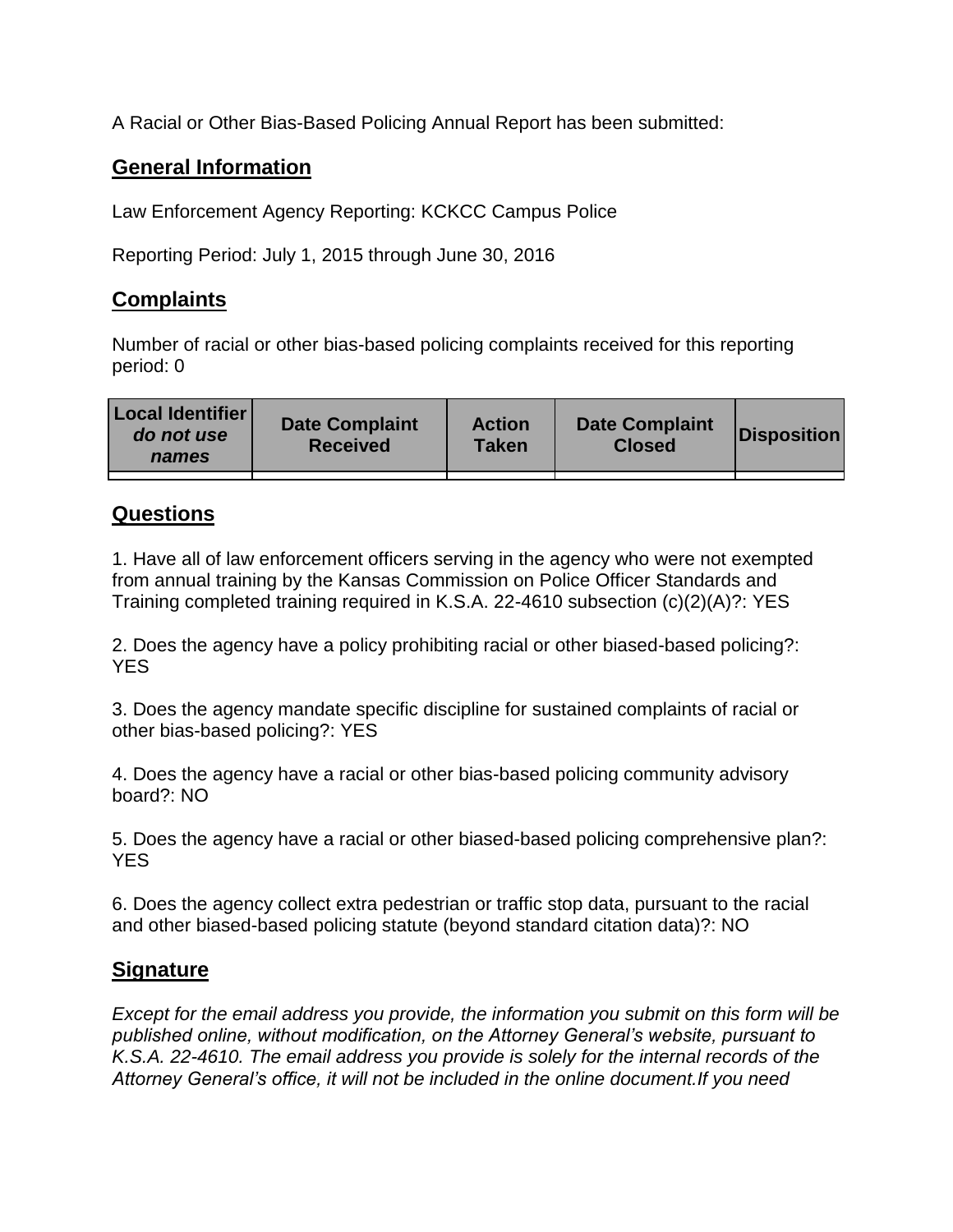A Racial or Other Bias-Based Policing Annual Report has been submitted:

## **General Information**

Law Enforcement Agency Reporting: KCKCC Campus Police

Reporting Period: July 1, 2015 through June 30, 2016

## **Complaints**

Number of racial or other bias-based policing complaints received for this reporting period: 0

| <b>Local Identifier</b><br>do not use<br>names | <b>Date Complaint</b><br><b>Received</b> | <b>Action</b><br><b>Taken</b> | <b>Date Complaint</b><br><b>Closed</b> | Disposition |
|------------------------------------------------|------------------------------------------|-------------------------------|----------------------------------------|-------------|
|                                                |                                          |                               |                                        |             |

## **Questions**

1. Have all of law enforcement officers serving in the agency who were not exempted from annual training by the Kansas Commission on Police Officer Standards and Training completed training required in K.S.A. 22-4610 subsection (c)(2)(A)?: YES

2. Does the agency have a policy prohibiting racial or other biased-based policing?: YES

3. Does the agency mandate specific discipline for sustained complaints of racial or other bias-based policing?: YES

4. Does the agency have a racial or other bias-based policing community advisory board?: NO

5. Does the agency have a racial or other biased-based policing comprehensive plan?: YES

6. Does the agency collect extra pedestrian or traffic stop data, pursuant to the racial and other biased-based policing statute (beyond standard citation data)?: NO

## **Signature**

*Except for the email address you provide, the information you submit on this form will be published online, without modification, on the Attorney General's website, pursuant to K.S.A. 22-4610. The email address you provide is solely for the internal records of the Attorney General's office, it will not be included in the online document.If you need*